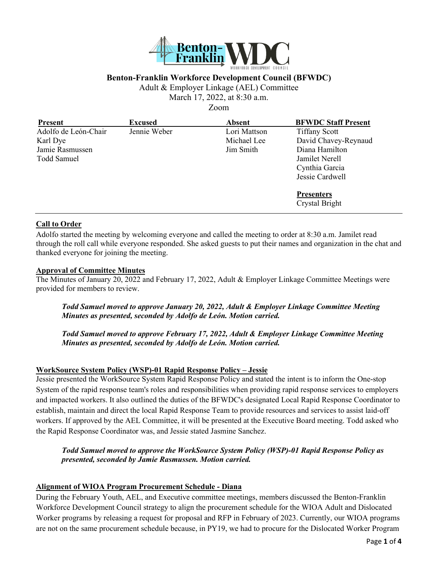

### **Benton-Franklin Workforce Development Council (BFWDC)**

Adult & Employer Linkage (AEL) Committee

March 17, 2022, at 8:30 a.m.

Zoom

| Present              | <b>Excused</b> | <b>Absent</b> | <b>BFWDC Staff Present</b> |
|----------------------|----------------|---------------|----------------------------|
| Adolfo de León-Chair | Jennie Weber   | Lori Mattson  | <b>Tiffany Scott</b>       |
| Karl Dye             |                | Michael Lee   | David Chavey-Reynaud       |
| Jamie Rasmussen      |                | Jim Smith     | Diana Hamilton             |
| Todd Samuel          |                |               | Jamilet Nerell             |
|                      |                |               | Cynthia Garcia             |
|                      |                |               | Jessie Cardwell            |
|                      |                |               | <b>Presenters</b>          |
|                      |                |               | Crystal Bright             |

#### **Call to Order**

Adolfo started the meeting by welcoming everyone and called the meeting to order at 8:30 a.m. Jamilet read through the roll call while everyone responded. She asked guests to put their names and organization in the chat and thanked everyone for joining the meeting.

#### **Approval of Committee Minutes**

The Minutes of January 20, 2022 and February 17, 2022, Adult & Employer Linkage Committee Meetings were provided for members to review.

*Todd Samuel moved to approve January 20, 2022, Adult & Employer Linkage Committee Meeting Minutes as presented, seconded by Adolfo de León. Motion carried.* 

*Todd Samuel moved to approve February 17, 2022, Adult & Employer Linkage Committee Meeting Minutes as presented, seconded by Adolfo de León. Motion carried.* 

## **WorkSource System Policy (WSP)-01 Rapid Response Policy – Jessie**

Jessie presented the WorkSource System Rapid Response Policy and stated the intent is to inform the One-stop System of the rapid response team's roles and responsibilities when providing rapid response services to employers and impacted workers. It also outlined the duties of the BFWDC's designated Local Rapid Response Coordinator to establish, maintain and direct the local Rapid Response Team to provide resources and services to assist laid-off workers. If approved by the AEL Committee, it will be presented at the Executive Board meeting. Todd asked who the Rapid Response Coordinator was, and Jessie stated Jasmine Sanchez.

*Todd Samuel moved to approve the WorkSource System Policy (WSP)-01 Rapid Response Policy as presented, seconded by Jamie Rasmussen. Motion carried.* 

#### **Alignment of WIOA Program Procurement Schedule - Diana**

During the February Youth, AEL, and Executive committee meetings, members discussed the Benton-Franklin Workforce Development Council strategy to align the procurement schedule for the WIOA Adult and Dislocated Worker programs by releasing a request for proposal and RFP in February of 2023. Currently, our WIOA programs are not on the same procurement schedule because, in PY19, we had to procure for the Dislocated Worker Program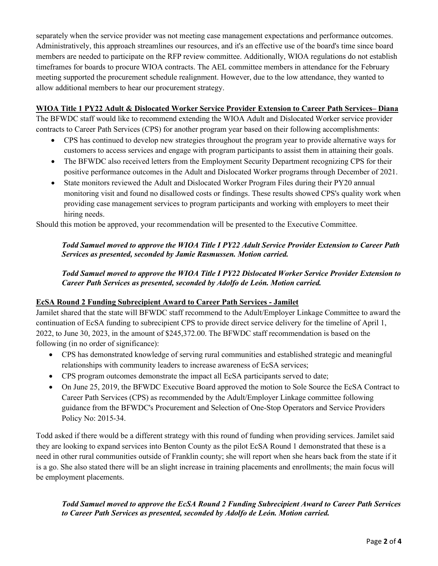separately when the service provider was not meeting case management expectations and performance outcomes. Administratively, this approach streamlines our resources, and it's an effective use of the board's time since board members are needed to participate on the RFP review committee. Additionally, WIOA regulations do not establish timeframes for boards to procure WIOA contracts. The AEL committee members in attendance for the February meeting supported the procurement schedule realignment. However, due to the low attendance, they wanted to allow additional members to hear our procurement strategy.

## **WIOA Title 1 PY22 Adult & Dislocated Worker Service Provider Extension to Career Path Services– Diana**

The BFWDC staff would like to recommend extending the WIOA Adult and Dislocated Worker service provider contracts to Career Path Services (CPS) for another program year based on their following accomplishments:

- CPS has continued to develop new strategies throughout the program year to provide alternative ways for customers to access services and engage with program participants to assist them in attaining their goals.
- The BFWDC also received letters from the Employment Security Department recognizing CPS for their positive performance outcomes in the Adult and Dislocated Worker programs through December of 2021.
- State monitors reviewed the Adult and Dislocated Worker Program Files during their PY20 annual monitoring visit and found no disallowed costs or findings. These results showed CPS's quality work when providing case management services to program participants and working with employers to meet their hiring needs.

Should this motion be approved, your recommendation will be presented to the Executive Committee.

## *Todd Samuel moved to approve the WIOA Title I PY22 Adult Service Provider Extension to Career Path Services as presented, seconded by Jamie Rasmussen. Motion carried.*

# *Todd Samuel moved to approve the WIOA Title I PY22 Dislocated Worker Service Provider Extension to Career Path Services as presented, seconded by Adolfo de León. Motion carried.*

# **EcSA Round 2 Funding Subrecipient Award to Career Path Services - Jamilet**

Jamilet shared that the state will BFWDC staff recommend to the Adult/Employer Linkage Committee to award the continuation of EcSA funding to subrecipient CPS to provide direct service delivery for the timeline of April 1, 2022, to June 30, 2023, in the amount of \$245,372.00. The BFWDC staff recommendation is based on the following (in no order of significance):

- CPS has demonstrated knowledge of serving rural communities and established strategic and meaningful relationships with community leaders to increase awareness of EcSA services;
- CPS program outcomes demonstrate the impact all EcSA participants served to date;
- On June 25, 2019, the BFWDC Executive Board approved the motion to Sole Source the EcSA Contract to Career Path Services (CPS) as recommended by the Adult/Employer Linkage committee following guidance from the BFWDC's Procurement and Selection of One-Stop Operators and Service Providers Policy No: 2015-34.

Todd asked if there would be a different strategy with this round of funding when providing services. Jamilet said they are looking to expand services into Benton County as the pilot EcSA Round 1 demonstrated that these is a need in other rural communities outside of Franklin county; she will report when she hears back from the state if it is a go. She also stated there will be an slight increase in training placements and enrollments; the main focus will be employment placements.

## *Todd Samuel moved to approve the EcSA Round 2 Funding Subrecipient Award to Career Path Services to Career Path Services as presented, seconded by Adolfo de León. Motion carried.*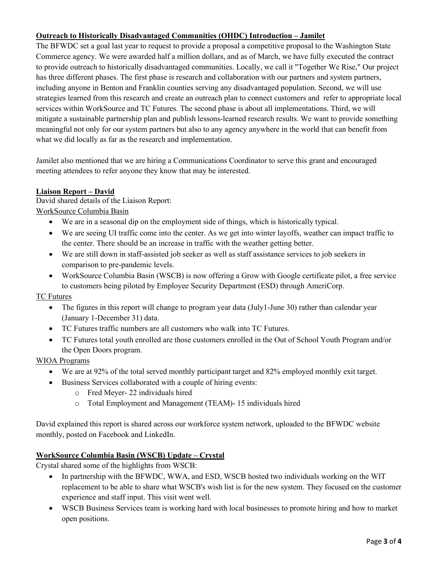# **Outreach to Historically Disadvantaged Communities (OHDC) Introduction – Jamilet**

The BFWDC set a goal last year to request to provide a proposal a competitive proposal to the Washington State Commerce agency. We were awarded half a million dollars, and as of March, we have fully executed the contract to provide outreach to historically disadvantaged communities. Locally, we call it "Together We Rise," Our project has three different phases. The first phase is research and collaboration with our partners and system partners, including anyone in Benton and Franklin counties serving any disadvantaged population. Second, we will use strategies learned from this research and create an outreach plan to connect customers and refer to appropriate local services within WorkSource and TC Futures. The second phase is about all implementations. Third, we will mitigate a sustainable partnership plan and publish lessons-learned research results. We want to provide something meaningful not only for our system partners but also to any agency anywhere in the world that can benefit from what we did locally as far as the research and implementation.

Jamilet also mentioned that we are hiring a Communications Coordinator to serve this grant and encouraged meeting attendees to refer anyone they know that may be interested.

### **Liaison Report – David**

David shared details of the Liaison Report:

WorkSource Columbia Basin

- We are in a seasonal dip on the employment side of things, which is historically typical.
- We are seeing UI traffic come into the center. As we get into winter layoffs, weather can impact traffic to the center. There should be an increase in traffic with the weather getting better.
- We are still down in staff-assisted job seeker as well as staff assistance services to job seekers in comparison to pre-pandemic levels.
- WorkSource Columbia Basin (WSCB) is now offering a Grow with Google certificate pilot, a free service to customers being piloted by Employee Security Department (ESD) through AmeriCorp.

TC Futures

- The figures in this report will change to program year data (July1-June 30) rather than calendar year (January 1-December 31) data.
- TC Futures traffic numbers are all customers who walk into TC Futures.
- TC Futures total youth enrolled are those customers enrolled in the Out of School Youth Program and/or the Open Doors program.

WIOA Programs

- We are at 92% of the total served monthly participant target and 82% employed monthly exit target.
- Business Services collaborated with a couple of hiring events:
	- o Fred Meyer- 22 individuals hired
	- o Total Employment and Management (TEAM)- 15 individuals hired

David explained this report is shared across our workforce system network, uploaded to the BFWDC website monthly, posted on Facebook and LinkedIn.

### **WorkSource Columbia Basin (WSCB) Update – Crystal**

Crystal shared some of the highlights from WSCB:

- In partnership with the BFWDC, WWA, and ESD, WSCB hosted two individuals working on the WIT replacement to be able to share what WSCB's wish list is for the new system. They focused on the customer experience and staff input. This visit went well.
- WSCB Business Services team is working hard with local businesses to promote hiring and how to market open positions.